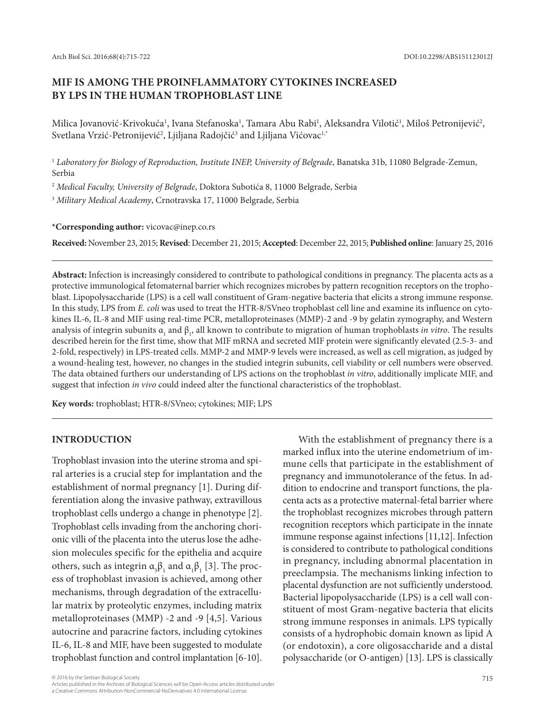# **MIF IS AMONG THE PROINFLAMMATORY CYTOKINES INCREASED BY LPS IN THE HUMAN TROPHOBLAST LINE**

Milica Jovanović-Krivokuća<sup>1</sup>, Ivana Stefanoska<sup>1</sup>, Tamara Abu Rabi<sup>1</sup>, Aleksandra Vilotić<sup>1</sup>, Miloš Petronijević<sup>2</sup>, Svetlana Vrzić-Petronijević<sup>2</sup>, Ljiljana Radojčić<sup>3</sup> and Ljiljana Vićovac<sup>1,</sup>\*

<sup>1</sup> *Laboratory for Biology of Reproduction, Institute INEP, University of Belgrade*, Banatska 31b, 11080 Belgrade-Zemun, Serbia

<sup>2</sup> *Medical Faculty, University of Belgrade*, Doktora Subotića 8, 11000 Belgrade, Serbia

<sup>3</sup> *Military Medical Academy*, Crnotravska 17, 11000 Belgrade, Serbia

**\*Corresponding author:** vicovac@inep.co.rs

**Received:** November 23, 2015; **Revised**: December 21, 2015; **Accepted**: December 22, 2015; **Published online**: January 25, 2016

**Abstract:** Infection is increasingly considered to contribute to pathological conditions in pregnancy. The placenta acts as a protective immunological fetomaternal barrier which recognizes microbes by pattern recognition receptors on the trophoblast. Lipopolysaccharide (LPS) is a cell wall constituent of Gram-negative bacteria that elicits a strong immune response. In this study, LPS from *E. coli* was used to treat the HTR-8/SVneo trophoblast cell line and examine its influence on cytokines IL-6, IL-8 and MIF using real-time PCR, metalloproteinases (MMP)-2 and -9 by gelatin zymography, and Western analysis of integrin subunits  $\alpha_1$  and  $\beta_1$ , all known to contribute to migration of human trophoblasts *in vitro*. The results described herein for the first time, show that MIF mRNA and secreted MIF protein were significantly elevated (2.5-3- and 2-fold, respectively) in LPS-treated cells. MMP-2 and MMP-9 levels were increased, as well as cell migration, as judged by a wound-healing test, however, no changes in the studied integrin subunits, cell viability or cell numbers were observed. The data obtained furthers our understanding of LPS actions on the trophoblast *in vitro*, additionally implicate MIF, and suggest that infection *in vivo* could indeed alter the functional characteristics of the trophoblast.

**Key words:** trophoblast; HTR-8/SVneo; cytokines; MIF; LPS

## **Introduction**

Trophoblast invasion into the uterine stroma and spiral arteries is a crucial step for implantation and the establishment of normal pregnancy [1]. During differentiation along the invasive pathway, extravillous trophoblast cells undergo a change in phenotype [2]. Trophoblast cells invading from the anchoring chorionic villi of the placenta into the uterus lose the adhesion molecules specific for the epithelia and acquire others, such as integrin  $\alpha_{5}\beta_{1}$  and  $\alpha_{1}\beta_{1}$  [3]. The process of trophoblast invasion is achieved, among other mechanisms, through degradation of the extracellular matrix by proteolytic enzymes, including matrix metalloproteinases (MMP) -2 and -9 [4,5]. Various autocrine and paracrine factors, including cytokines IL-6, IL-8 and MIF, have been suggested to modulate trophoblast function and control implantation [6-10].

With the establishment of pregnancy there is a marked influx into the uterine endometrium of immune cells that participate in the establishment of pregnancy and immunotolerance of the fetus. In addition to endocrine and transport functions, the placenta acts as a protective maternal-fetal barrier where the trophoblast recognizes microbes through pattern recognition receptors which participate in the innate immune response against infections [11,12]. Infection is considered to contribute to pathological conditions in pregnancy, including abnormal placentation in preeclampsia. The mechanisms linking infection to placental dysfunction are not sufficiently understood. Bacterial lipopolysaccharide (LPS) is a cell wall constituent of most Gram-negative bacteria that elicits strong immune responses in animals. LPS typically consists of a hydrophobic domain known as lipid A (or endotoxin), a core oligosaccharide and a distal polysaccharide (or O-antigen) [13]. LPS is classically

<sup>© 2016</sup> by the Serbian Biological Society 715<br>Articles published in the Archives of Biological Sciences will be Open-Access articles distributed under a Creative Commons Attribution-NonCommercial-NoDerivatives 4.0 International License.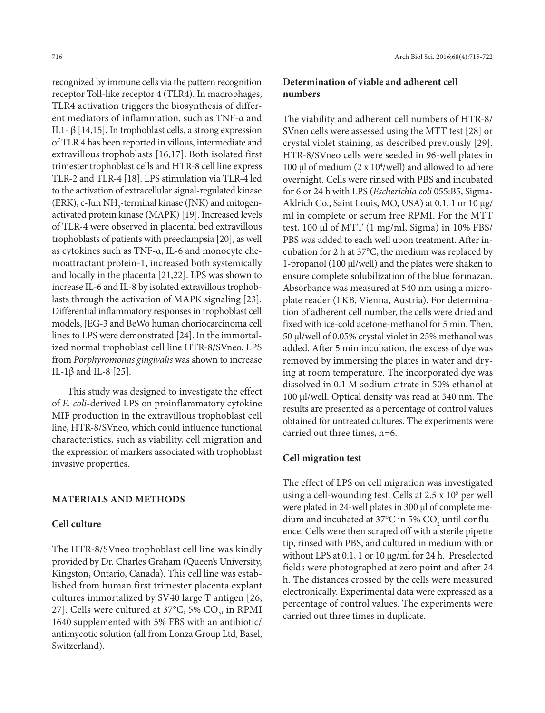recognized by immune cells via the pattern recognition receptor Toll-like receptor 4 (TLR4). In macrophages, TLR4 activation triggers the biosynthesis of different mediators of inflammation, such as TNF-α and IL1- β [14,15]. In trophoblast cells, a strong expression of TLR 4 has been reported in villous, intermediate and extravillous trophoblasts [16,17]. Both isolated first trimester trophoblast cells and HTR-8 cell line express TLR-2 and TLR-4 [18]. LPS stimulation via TLR-4 led to the activation of extracellular signal-regulated kinase (ERK), c-Jun NH<sub>2</sub>-terminal kinase (JNK) and mitogenactivated protein kinase (MAPK) [19]. Increased levels of TLR-4 were observed in placental bed extravillous trophoblasts of patients with preeclampsia [20], as well as cytokines such as TNF-α, IL-6 and monocyte chemoattractant protein-1, increased both systemically and locally in the placenta [21,22]. LPS was shown to increase IL-6 and IL-8 by isolated extravillous trophoblasts through the activation of MAPK signaling [23]. Differential inflammatory responses in trophoblast cell models, JEG-3 and BeWo human choriocarcinoma cell lines to LPS were demonstrated [24]. In the immortalized normal trophoblast cell line HTR-8/SVneo, LPS from *Porphyromonas gingivalis* was shown to increase IL-1β and IL-8 [25].

This study was designed to investigate the effect of *E. coli*-derived LPS on proinflammatory cytokine MIF production in the extravillous trophoblast cell line, HTR-8/SVneo, which could influence functional characteristics, such as viability, cell migration and the expression of markers associated with trophoblast invasive properties.

### **Materials and methods**

#### **Cell culture**

The HTR-8/SVneo trophoblast cell line was kindly provided by Dr. Charles Graham (Queen's University, Kingston, Ontario, Canada). This cell line was established from human first trimester placenta explant cultures immortalized by SV40 large T antigen [26, 27]. Cells were cultured at 37°C, 5%  $\mathrm{CO}_2^{\vphantom{\dag}}$ , in RPMI 1640 supplemented with 5% FBS with an antibiotic/ antimycotic solution (all from Lonza Group Ltd, Basel, Switzerland).

# **Determination of viable and adherent cell numbers**

The viability and adherent cell numbers of HTR-8/ SVneo cells were assessed using the MTT test [28] or crystal violet staining, as described previously [29]. HTR-8/SVneo cells were seeded in 96-well plates in 100  $\mu$ l of medium (2 x 10<sup>4</sup>/well) and allowed to adhere overnight. Cells were rinsed with PBS and incubated for 6 or 24 h with LPS (*Escherichia coli* 055:B5, Sigma-Aldrich Co., Saint Louis, MO, USA) at 0.1, 1 or 10 µg/ ml in complete or serum free RPMI. For the MTT test, 100 µl of MTT (1 mg/ml, Sigma) in 10% FBS/ PBS was added to each well upon treatment. After incubation for 2 h at 37°C, the medium was replaced by 1-propanol (100 µl/well) and the plates were shaken to ensure complete solubilization of the blue formazan. Absorbance was measured at 540 nm using a microplate reader (LKB, Vienna, Austria). For determination of adherent cell number, the cells were dried and fixed with ice-cold acetone-methanol for 5 min. Then, 50 µl/well of 0.05% crystal violet in 25% methanol was added. After 5 min incubation, the excess of dye was removed by immersing the plates in water and drying at room temperature. The incorporated dye was dissolved in 0.1 M sodium citrate in 50% ethanol at 100 µl/well. Optical density was read at 540 nm. The results are presented as a percentage of control values obtained for untreated cultures. The experiments were carried out three times, n=6.

#### **Cell migration test**

The effect of LPS on cell migration was investigated using a cell-wounding test. Cells at  $2.5 \times 10^5$  per well were plated in 24-well plates in 300 µl of complete medium and incubated at 37°C in 5%  $\mathrm{CO}_2^{\scriptscriptstyle{}}$  until confluence. Cells were then scraped off with a sterile pipette tip, rinsed with PBS, and cultured in medium with or without LPS at 0.1, 1 or 10 µg/ml for 24 h. Preselected fields were photographed at zero point and after 24 h. The distances crossed by the cells were measured electronically. Experimental data were expressed as a percentage of control values. The experiments were carried out three times in duplicate.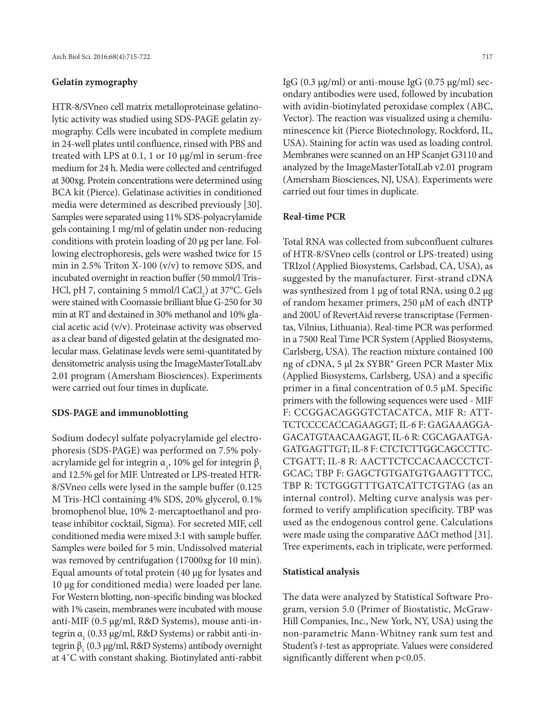#### **Gelatin zymography**

HTR-8/SVneo cell matrix metalloproteinase gelatinolytic activity was studied using SDS-PAGE gelatin zymography. Cells were incubated in complete medium in 24-well plates until confluence, rinsed with PBS and treated with LPS at 0.1, 1 or 10 µg/ml in serum-free medium for 24 h. Media were collected and centrifuged at 300xg. Protein concentrations were determined using BCA kit (Pierce). Gelatinase activities in conditioned media were determined as described previously [30]. Samples were separated using 11% SDS-polyacrylamide gels containing 1 mg/ml of gelatin under non-reducing conditions with protein loading of 20 µg per lane. Following electrophoresis, gels were washed twice for 15 min in 2.5% Triton X-100 (v/v) to remove SDS, and incubated overnight in reaction buffer (50 mmol/l Tris– HCl, pH 7, containing 5 mmol/l  $\text{CaCl}_2$ ) at 37°C. Gels were stained with Coomassie brilliant blue G-250 for 30 min at RT and destained in 30% methanol and 10% glacial acetic acid (v/v). Proteinase activity was observed as a clear band of digested gelatin at the designated molecular mass. Gelatinase levels were semi-quantitated by densitometric analysis using the ImageMasterTotalLabv 2.01 program (Amersham Biosciences). Experiments were carried out four times in duplicate.

#### **SDS-PAGE and immunoblotting**

Sodium dodecyl sulfate polyacrylamide gel electrophoresis (SDS-PAGE) was performed on 7.5% polyacrylamide gel for integrin  $\mathfrak{a_1}$ , 10% gel for integrin  $\mathfrak{b}_1$ and 12.5% gel for MIF. Untreated or LPS-treated HTR-8/SVneo cells were lysed in the sample buffer (0.125 M Tris-HCl containing 4% SDS, 20% glycerol, 0.1% bromophenol blue, 10% 2-mercaptoethanol and protease inhibitor cocktail, Sigma). For secreted MIF, cell conditioned media were mixed 3:1 with sample buffer. Samples were boiled for 5 min. Undissolved material was removed by centrifugation (17000xg for 10 min). Equal amounts of total protein (40 µg for lysates and 10 µg for conditioned media) were loaded per lane. For Western blotting, non-specific binding was blocked with 1% casein, membranes were incubated with mouse anti-MIF (0.5 µg/ml, R&D Systems), mouse anti-integrin α<sub>1</sub> (0.33 μg/ml, R&D Systems) or rabbit anti-integrin β<sub>1</sub> (0.3 μg/ml, R&D Systems) antibody overnight at 4˚C with constant shaking. Biotinylated anti-rabbit

IgG (0.3  $\mu$ g/ml) or anti-mouse IgG (0.75  $\mu$ g/ml) secondary antibodies were used, followed by incubation with avidin-biotinylated peroxidase complex (ABC, Vector). The reaction was visualized using a chemiluminescence kit (Pierce Biotechnology, Rockford, IL, USA). Staining for actin was used as loading control. Membranes were scanned on an HP Scanjet G3110 and analyzed by the ImageMasterTotalLab v2.01 program (Amersham Biosciences, NJ, USA). Experiments were carried out four times in duplicate.

#### **Real-time PCR**

Total RNA was collected from subconfluent cultures of HTR-8/SVneo cells (control or LPS-treated) using TRIzol (Applied Biosystems, Carlsbad, CA, USA), as suggested by the manufacturer. First-strand cDNA was synthesized from 1 μg of total RNA, using 0.2 μg of random hexamer primers, 250 μM of each dNTP and 200U of RevertAid reverse transcriptase (Fermentas, Vilnius, Lithuania). Real-time PCR was performed in a 7500 Real Time PCR System (Applied Biosystems, Carlsberg, USA). The reaction mixture contained 100 ng of cDNA, 5 μl 2x SYBR® Green PCR Master Mix (Applied Biosystems, Carlsberg, USA) and a specific primer in a final concentration of 0.5 μM. Specific primers with the following sequences were used - MIF F: CCGGACAGGGTCTACATCA, MIF R: ATT-TCTCCCCACCAGAAGGT; IL-6 F: GAGAAAGGA-GACATGTAACAAGAGT, IL-6 R: CGCAGAATGA-GATGAGTTGT; IL-8 F: CTCTCTTGGCAGCCTTC-CTGATT; IL-8 R: AACTTCTCCACAACCCTCT-GCAC; TBP F: GAGCTGTGATGTGAAGTTTCC, TBP R: TCTGGGTTTGATCATTCTGTAG (as an internal control). Melting curve analysis was performed to verify amplification specificity. TBP was used as the endogenous control gene. Calculations were made using the comparative ∆∆Ct method [31]. Tree experiments, each in triplicate, were performed.

#### **Statistical analysis**

The data were analyzed by Statistical Software Program, version 5.0 (Primer of Biostatistic, McGraw-Hill Companies, Inc., New York, NY, USA) using the non-parametric Mann-Whitney rank sum test and Student's *t*-test as appropriate. Values were considered significantly different when  $p<0.05$ .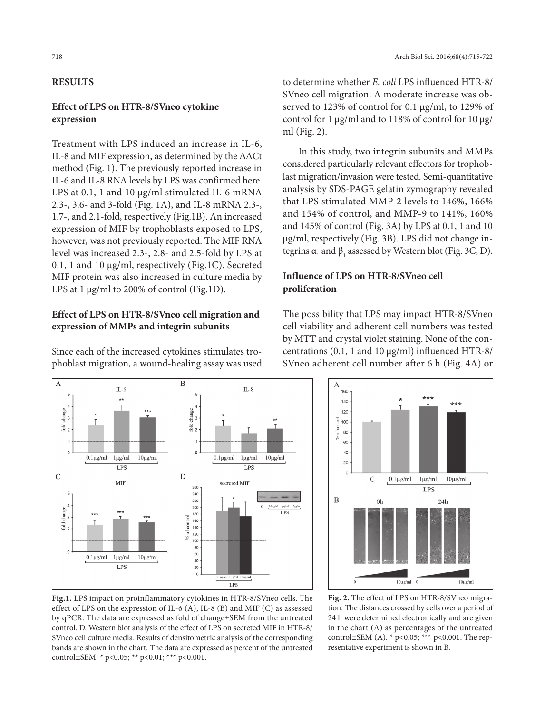# **Results**

### **Effect of LPS on HTR-8/SVneo cytokine expression**

Treatment with LPS induced an increase in IL-6, IL-8 and MIF expression, as determined by the ΔΔCt method (Fig. 1). The previously reported increase in IL-6 and IL-8 RNA levels by LPS was confirmed here. LPS at 0.1, 1 and 10  $\mu$ g/ml stimulated IL-6 mRNA 2.3-, 3.6- and 3-fold (Fig. 1A), and IL-8 mRNA 2.3-, 1.7-, and 2.1-fold, respectively (Fig.1B). An increased expression of MIF by trophoblasts exposed to LPS, however*,* was not previously reported. The MIF RNA level was increased 2.3-, 2.8- and 2.5-fold by LPS at 0.1, 1 and 10 µg/ml, respectively (Fig.1C). Secreted MIF protein was also increased in culture media by LPS at 1 µg/ml to 200% of control (Fig.1D).

### **Effect of LPS on HTR-8/SVneo cell migration and expression of MMPs and integrin subunits**

Since each of the increased cytokines stimulates trophoblast migration, a wound-healing assay was used

to determine whether *E. coli* LPS influenced HTR-8/ SVneo cell migration. A moderate increase was observed to 123% of control for 0.1 µg/ml, to 129% of control for 1 µg/ml and to 118% of control for 10 µg/ ml (Fig. 2).

In this study, two integrin subunits and MMPs considered particularly relevant effectors for trophoblast migration/invasion were tested. Semi-quantitative analysis by SDS-PAGE gelatin zymography revealed that LPS stimulated MMP-2 levels to 146%, 166% and 154% of control, and MMP-9 to 141%, 160% and 145% of control (Fig. 3A) by LPS at 0.1, 1 and 10 µg/ml, respectively (Fig. 3B). LPS did not change integrins  $a_1$  and  $\beta_1$  assessed by Western blot (Fig. 3C, D).

# **Influence of LPS on HTR-8/SVneo cell proliferation**



The possibility that LPS may impact HTR-8/SVneo cell viability and adherent cell numbers was tested by MTT and crystal violet staining. None of the concentrations (0.1, 1 and 10 µg/ml) influenced HTR-8/ SVneo adherent cell number after 6 h (Fig. 4A) or



**Fig.1.** LPS impact on proinflammatory cytokines in HTR-8/SVneo cells. The effect of LPS on the expression of IL-6 (A), IL-8 (B) and MIF (C) as assessed by qPCR. The data are expressed as fold of change±SEM from the untreated control. D. Western blot analysis of the effect of LPS on secreted MIF in HTR-8/ SVneo cell culture media. Results of densitometric analysis of the corresponding bands are shown in the chart. The data are expressed as percent of the untreated control±SEM. \* p<0.05; \*\* p<0.01; \*\*\* p<0.001.

**Fig. 2.** The effect of LPS on HTR-8/SVneo migration. The distances crossed by cells over a period of 24 h were determined electronically and are given in the chart (A) as percentages of the untreated control±SEM (A).  $*$  p<0.05; \*\*\* p<0.001. The representative experiment is shown in B.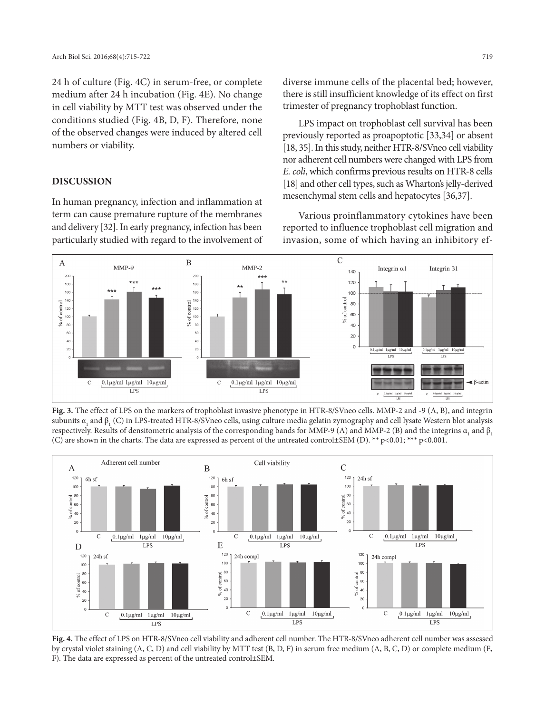24 h of culture (Fig. 4C) in serum-free, or complete medium after 24 h incubation (Fig. 4E). No change in cell viability by MTT test was observed under the conditions studied (Fig. 4B, D, F). Therefore, none of the observed changes were induced by altered cell numbers or viability.

### **Discussion**

In human pregnancy, infection and inflammation at term can cause premature rupture of the membranes and delivery [32]. In early pregnancy, infection has been particularly studied with regard to the involvement of diverse immune cells of the placental bed; however, there is still insufficient knowledge of its effect on first trimester of pregnancy trophoblast function.

LPS impact on trophoblast cell survival has been previously reported as proapoptotic [33,34] or absent [18, 35]. In this study, neither HTR-8/SVneo cell viability nor adherent cell numbers were changed with LPS from *E. coli*, which confirms previous results on HTR-8 cells [18] and other cell types, such as Wharton's jelly-derived mesenchymal stem cells and hepatocytes [36,37].

Various proinflammatory cytokines have been reported to influence trophoblast cell migration and invasion, some of which having an inhibitory ef-



**Fig. 3.** The effect of LPS on the markers of trophoblast invasive phenotype in HTR-8/SVneo cells. MMP-2 and -9 (A, B), and integrin subunits  $\alpha_{_1}$  and  $\beta_{_1}$  (C) in LPS-treated HTR-8/SVneo cells, using culture media gelatin zymography and cell lysate Western blot analysis respectively. Results of densitometric analysis of the corresponding bands for MMP-9 (A) and MMP-2 (B) and the integrins  $\alpha_{_1}$  and  $\beta_{_1}$ (C) are shown in the charts. The data are expressed as percent of the untreated control±SEM (D). \*\* p<0.01; \*\*\* p<0.001.



**Fig. 4.** The effect of LPS on HTR-8/SVneo cell viability and adherent cell number. The HTR-8/SVneo adherent cell number was assessed by crystal violet staining (A, C, D) and cell viability by MTT test (B, D, F) in serum free medium (A, B, C, D) or complete medium (E, F). The data are expressed as percent of the untreated control±SEM.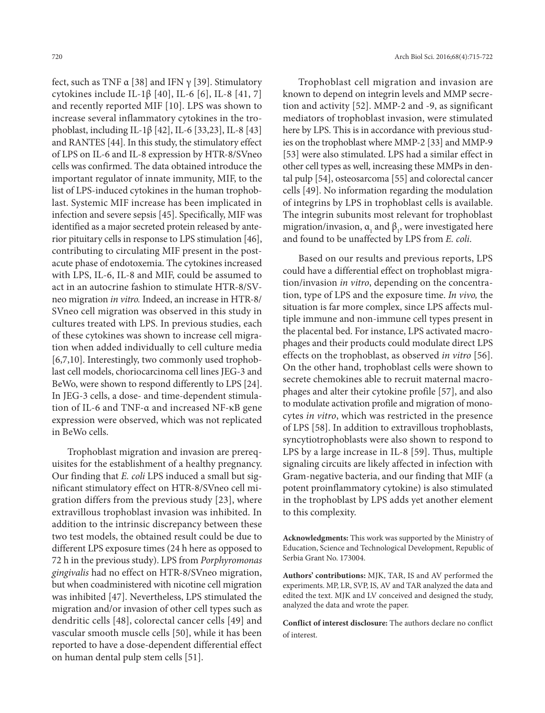fect, such as TNF  $\alpha$  [38] and IFN  $\gamma$  [39]. Stimulatory cytokines include IL-1β [40], IL-6 [6], IL-8 [41, 7] and recently reported MIF [10]. LPS was shown to increase several inflammatory cytokines in the trophoblast, including IL-1β [42], IL-6 [33,23], IL-8 [43] and RANTES [44]. In this study, the stimulatory effect of LPS on IL-6 and IL-8 expression by HTR-8/SVneo cells was confirmed. The data obtained introduce the important regulator of innate immunity, MIF, to the list of LPS-induced cytokines in the human trophoblast. Systemic MIF increase has been implicated in infection and severe sepsis [45]. Specifically, MIF was identified as a major secreted protein released by anterior pituitary cells in response to LPS stimulation [46], contributing to circulating MIF present in the postacute phase of endotoxemia. The cytokines increased with LPS, IL-6, IL-8 and MIF, could be assumed to act in an autocrine fashion to stimulate HTR-8/SVneo migration *in vitro.* Indeed, an increase in HTR-8/ SVneo cell migration was observed in this study in cultures treated with LPS. In previous studies, each of these cytokines was shown to increase cell migration when added individually to cell culture media [6,7,10]. Interestingly, two commonly used trophoblast cell models, choriocarcinoma cell lines JEG-3 and BeWo, were shown to respond differently to LPS [24]. In JEG-3 cells, a dose- and time-dependent stimulation of IL-6 and TNF-α and increased NF-κB gene expression were observed, which was not replicated in BeWo cells.

Trophoblast migration and invasion are prerequisites for the establishment of a healthy pregnancy. Our finding that *E. coli* LPS induced a small but significant stimulatory effect on HTR-8/SVneo cell migration differs from the previous study [23], where extravillous trophoblast invasion was inhibited. In addition to the intrinsic discrepancy between these two test models, the obtained result could be due to different LPS exposure times (24 h here as opposed to 72 h in the previous study). LPS from *Porphyromonas gingivalis* had no effect on HTR-8/SVneo migration, but when coadministered with nicotine cell migration was inhibited [47]. Nevertheless, LPS stimulated the migration and/or invasion of other cell types such as dendritic cells [48], colorectal cancer cells [49] and vascular smooth muscle cells [50], while it has been reported to have a dose-dependent differential effect on human dental pulp stem cells [51].

Trophoblast cell migration and invasion are known to depend on integrin levels and MMP secretion and activity [52]. MMP-2 and -9, as significant mediators of trophoblast invasion, were stimulated here by LPS. This is in accordance with previous studies on the trophoblast where MMP-2 [33] and MMP-9 [53] were also stimulated. LPS had a similar effect in other cell types as well, increasing these MMPs in dental pulp [54], osteosarcoma [55] and colorectal cancer cells [49]. No information regarding the modulation of integrins by LPS in trophoblast cells is available. The integrin subunits most relevant for trophoblast migration/invasion,  $\alpha$ <sub>1</sub> and  $\beta$ <sub>1</sub>, were investigated here and found to be unaffected by LPS from *E. coli*.

Based on our results and previous reports, LPS could have a differential effect on trophoblast migration/invasion *in vitro*, depending on the concentration, type of LPS and the exposure time. *In vivo,* the situation is far more complex, since LPS affects multiple immune and non-immune cell types present in the placental bed. For instance, LPS activated macrophages and their products could modulate direct LPS effects on the trophoblast, as observed *in vitro* [56]. On the other hand, trophoblast cells were shown to secrete chemokines able to recruit maternal macrophages and alter their cytokine profile [57], and also to modulate activation profile and migration of monocytes *in vitro*, which was restricted in the presence of LPS [58]. In addition to extravillous trophoblasts, syncytiotrophoblasts were also shown to respond to LPS by a large increase in IL-8 [59]. Thus, multiple signaling circuits are likely affected in infection with Gram-negative bacteria, and our finding that MIF (a potent proinflammatory cytokine) is also stimulated in the trophoblast by LPS adds yet another element to this complexity.

**Authors' contributions:** MJK, TAR, IS and AV performed the experiments. MP, LR, SVP, IS, AV and TAR analyzed the data and edited the text. MJK and LV conceived and designed the study, analyzed the data and wrote the paper.

**Conflict of interest disclosure:** The authors declare no conflict of interest.

**Acknowledgments:** This work was supported by the Ministry of Education, Science and Technological Development, Republic of Serbia Grant No. 173004.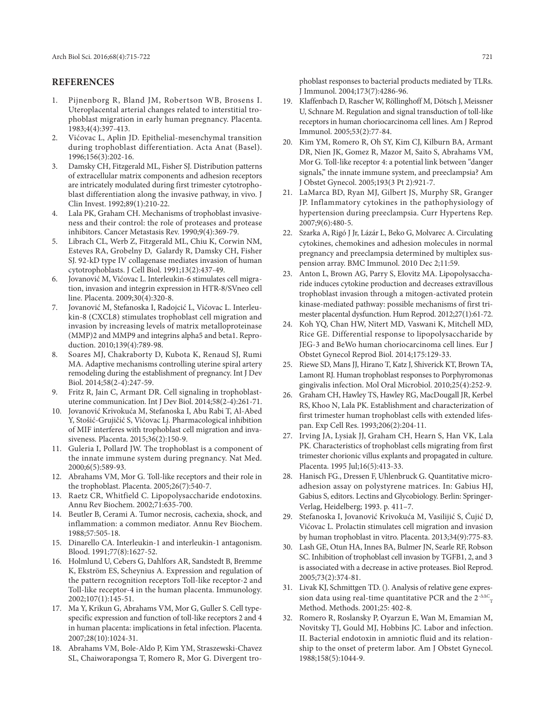#### **References**

- 1. Pijnenborg R, Bland JM, Robertson WB, Brosens I. Uteroplacental arterial changes related to interstitial trophoblast migration in early human pregnancy. Placenta. 1983;4(4):397-413.
- 2. Vićovac L, Aplin JD. Epithelial-mesenchymal transition during trophoblast differentiation. Acta Anat (Basel). 1996;156(3):202-16.
- 3. Damsky CH, Fitzgerald ML, Fisher SJ. Distribution patterns of extracellular matrix components and adhesion receptors are intricately modulated during first trimester cytotrophoblast differentiation along the invasive pathway, in vivo. J Clin Invest. 1992;89(1):210-22.
- 4. Lala PK, Graham CH. Mechanisms of trophoblast invasiveness and their control: the role of proteases and protease inhibitors. Cancer Metastasis Rev. 1990;9(4):369-79.
- 5. Librach CL, Werb Z, Fitzgerald ML, Chiu K, Corwin NM, Esteves RA, Grobelny D, Galardy R, Damsky CH, Fisher SJ. 92-kD type IV collagenase mediates invasion of human cytotrophoblasts. J Cell Biol. 1991;13(2):437-49.
- 6. Jovanović M, Vićovac L. Interleukin-6 stimulates cell migration, invasion and integrin expression in HTR-8/SVneo cell line. Placenta. 2009;30(4):320-8.
- 7. Jovanović M, Stefanoska I, Radojcić L, Vićovac L. Interleukin-8 (CXCL8) stimulates trophoblast cell migration and invasion by increasing levels of matrix metalloproteinase (MMP)2 and MMP9 and integrins alpha5 and beta1. Reproduction. 2010;139(4):789-98.
- 8. Soares MJ, Chakraborty D, Kubota K, Renaud SJ, Rumi MA. Adaptive mechanisms controlling uterine spiral artery remodeling during the establishment of pregnancy. Int J Dev Biol. 2014;58(2-4):247-59.
- 9. Fritz R, Jain C, Armant DR. Cell signaling in trophoblastuterine communication. Int J Dev Biol. 2014;58(2-4):261-71.
- 10. Jovanović Krivokuća M, Stefanoska I, Abu Rabi T, Al-Abed Y, Stošić-Grujičić S, Vićovac Lj. Pharmacological inhibition of MIF interferes with trophoblast cell migration and invasiveness. Placenta. 2015;36(2):150-9.
- 11. Guleria I, Pollard JW. The trophoblast is a component of the innate immune system during pregnancy. Nat Med. 2000;6(5):589-93.
- 12. Abrahams VM, Mor G. Toll-like receptors and their role in the trophoblast. Placenta. 2005;26(7):540-7.
- 13. Raetz CR, Whitfield C. Lipopolysaccharide endotoxins. Annu Rev Biochem. 2002;71:635-700.
- 14. Beutler B, Cerami A. Tumor necrosis, cachexia, shock, and inflammation: a common mediator. Annu Rev Biochem. 1988;57:505-18.
- 15. Dinarello CA. Interleukin-1 and interleukin-1 antagonism. Blood. 1991;77(8):1627-52.
- 16. Holmlund U, Cebers G, Dahlfors AR, Sandstedt B, Bremme K, Ekström ES, Scheynius A. Expression and regulation of the pattern recognition receptors Toll-like receptor-2 and Toll-like receptor-4 in the human placenta. Immunology. 2002;107(1):145-51.
- 17. Ma Y, Krikun G, Abrahams VM, Mor G, Guller S. Cell typespecific expression and function of toll-like receptors 2 and 4 in human placenta: implications in fetal infection. Placenta. 2007;28(10):1024-31.
- 18. Abrahams VM, Bole-Aldo P, Kim YM, Straszewski-Chavez SL, Chaiworapongsa T, Romero R, Mor G. Divergent tro-

phoblast responses to bacterial products mediated by TLRs. J Immunol. 2004;173(7):4286-96.

- 19. Klaffenbach D, Rascher W, Röllinghoff M, Dötsch J, Meissner U, Schnare M. Regulation and signal transduction of toll-like receptors in human choriocarcinoma cell lines. Am J Reprod Immunol. 2005;53(2):77-84.
- 20. Kim YM, Romero R, Oh SY, Kim CJ, Kilburn BA, Armant DR, Nien JK, Gomez R, Mazor M, Saito S, Abrahams VM, Mor G. Toll-like receptor 4: a potential link between "danger signals," the innate immune system, and preeclampsia? Am J Obstet Gynecol. 2005;193(3 Pt 2):921-7.
- 21. LaMarca BD, Ryan MJ, Gilbert JS, Murphy SR, Granger JP. Inflammatory cytokines in the pathophysiology of hypertension during preeclampsia. Curr Hypertens Rep. 2007;9(6):480-5.
- 22. Szarka A, Rigó J Jr, Lázár L, Beko G, Molvarec A. Circulating cytokines, chemokines and adhesion molecules in normal pregnancy and preeclampsia determined by multiplex suspension array. BMC Immunol. 2010 Dec 2;11:59.
- 23. Anton L, Brown AG, Parry S, Elovitz MA. Lipopolysaccharide induces cytokine production and decreases extravillous trophoblast invasion through a mitogen-activated protein kinase-mediated pathway: possible mechanisms of first trimester placental dysfunction. Hum Reprod. 2012;27(1):61-72.
- 24. Koh YQ, Chan HW, Nitert MD, Vaswani K, Mitchell MD, Rice GE. Differential response to lipopolysaccharide by JEG-3 and BeWo human choriocarcinoma cell lines. Eur J Obstet Gynecol Reprod Biol. 2014;175:129-33.
- 25. Riewe SD, Mans JJ, Hirano T, Katz J, Shiverick KT, Brown TA, Lamont RJ. Human trophoblast responses to Porphyromonas gingivalis infection. Mol Oral Microbiol. 2010;25(4):252-9.
- 26. Graham CH, Hawley TS, Hawley RG, MacDougall JR, Kerbel RS, Khoo N, Lala PK. Establishment and characterization of first trimester human trophoblast cells with extended lifespan. Exp Cell Res. 1993;206(2):204-11.
- 27. Irving JA, Lysiak JJ, Graham CH, Hearn S, Han VK, Lala PK. Characteristics of trophoblast cells migrating from first trimester chorionic villus explants and propagated in culture. Placenta. 1995 Jul;16(5):413-33.
- 28. Hanisch FG., Dressen F, Uhlenbruck G. Quantitative microadhesion assay on polystyrene matrices. In: Gabius HJ, Gabius S, editors. Lectins and Glycobiology. Berlin: Springer-Verlag, Heidelberg; 1993. p. 411–7.
- 29. Stefanoska I, Jovanović Krivokuća M, Vasilijić S, Ćujić D, Vićovac L. Prolactin stimulates cell migration and invasion by human trophoblast in vitro. Placenta. 2013;34(9):775-83.
- 30. Lash GE, Otun HA, Innes BA, Bulmer JN, Searle RF, Robson SC. Inhibition of trophoblast cell invasion by TGFB1, 2, and 3 is associated with a decrease in active proteases. Biol Reprod. 2005;73(2):374-81.
- 31. Livak KJ, Schmittgen TD. (). Analysis of relative gene expression data using real-time quantitative PCR and the  $2^{\text{-}\Delta\Delta C}$ <sub>T</sub> Method. Methods. 2001;25: 402-8.
- 32. Romero R, Roslansky P, Oyarzun E, Wan M, Emamian M, Novitsky TJ, Gould MJ, Hobbins JC. Labor and infection. II. Bacterial endotoxin in amniotic fluid and its relationship to the onset of preterm labor. Am J Obstet Gynecol. 1988;158(5):1044-9.